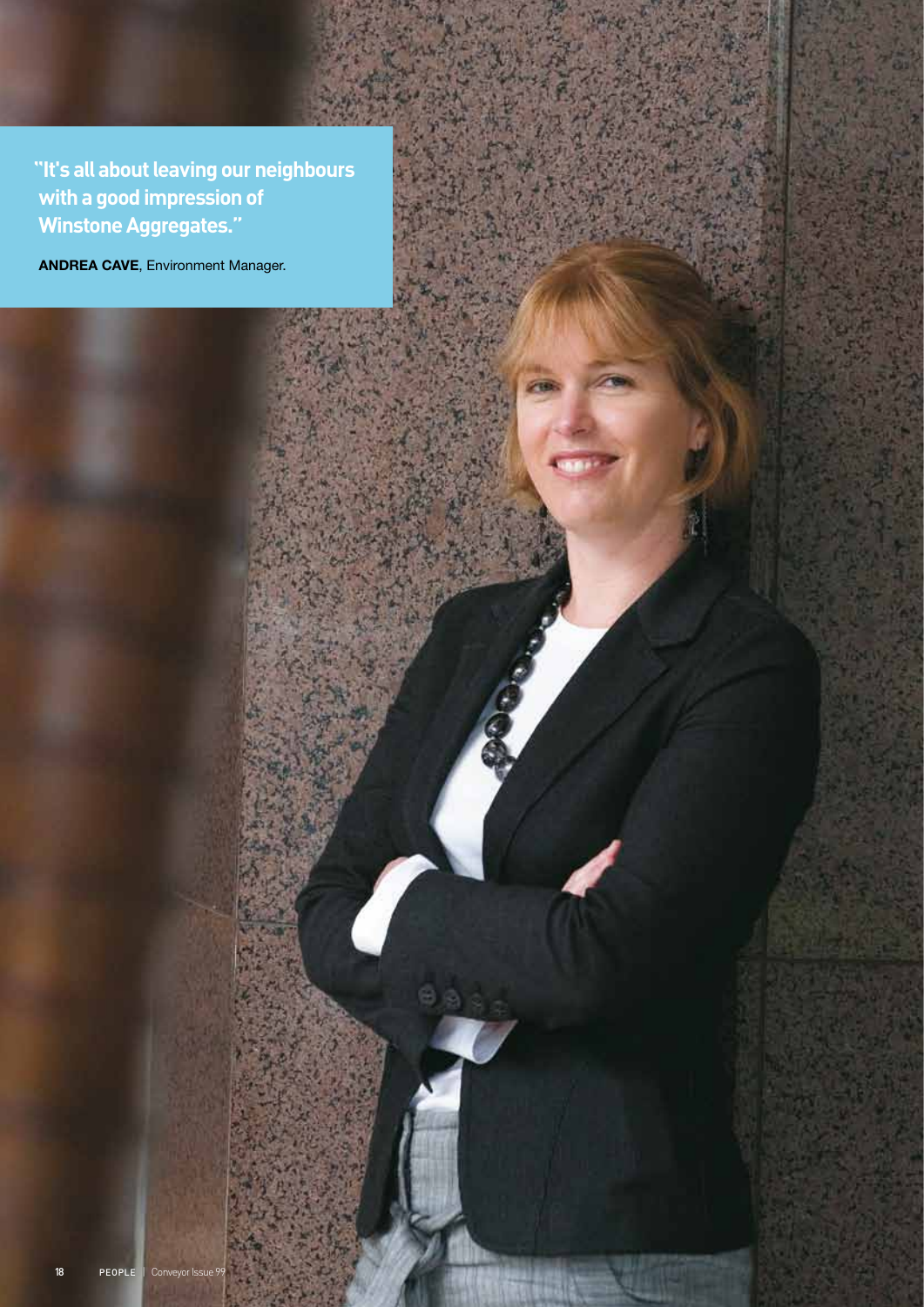**"It's all about leaving our neighbours with a good impression of Winstone Aggregates."**

ANDREA CAVE, Environment Manager.